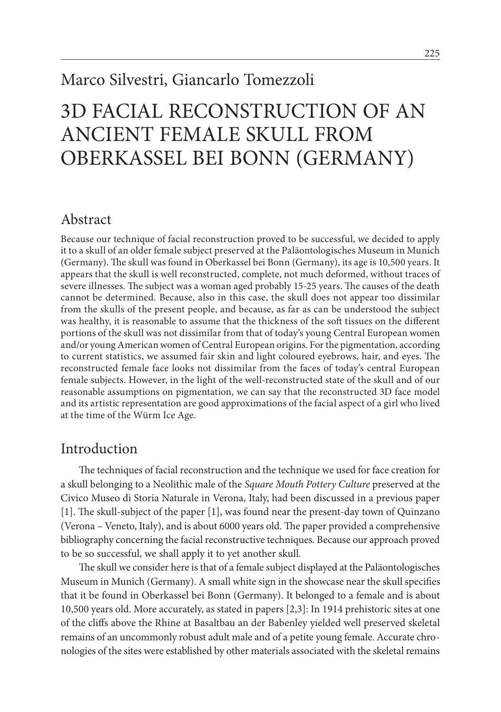# Marco Silvestri, Giancarlo Tomezzoli

# 3D FACIAL RECONSTRUCTION OF AN ANCIENT FEMALE SKULL FROM OBERKASSEL BEI BONN (GERMANY)

#### Abstract

Because our technique of facial reconstruction proved to be successful, we decided to apply it to a skull of an older female subject preserved at the Paläontologisches Museum in Munich (Germany). The skull was found in Oberkassel bei Bonn (Germany), its age is 10,500 years. It appears that the skull is well reconstructed, complete, not much deformed, without traces of severe illnesses. The subject was a woman aged probably 15-25 years. The causes of the death cannot be determined. Because, also in this case, the skull does not appear too dissimilar from the skulls of the present people, and because, as far as can be understood the subject was healthy, it is reasonable to assume that the thickness of the soft tissues on the different portions of the skull was not dissimilar from that of today's young Central European women and/or young American women of Central European origins. For the pigmentation, according to current statistics, we assumed fair skin and light coloured eyebrows, hair, and eyes. The reconstructed female face looks not dissimilar from the faces of today's central European female subjects. However, in the light of the well-reconstructed state of the skull and of our reasonable assumptions on pigmentation, we can say that the reconstructed 3D face model and its artistic representation are good approximations of the facial aspect of a girl who lived at the time of the Würm Ice Age.

#### Introduction

The techniques of facial reconstruction and the technique we used for face creation for a skull belonging to a Neolithic male of the *Square Mouth Pottery Culture* preserved at the Civico Museo di Storia Naturale in Verona, Italy, had been discussed in a previous paper [1]. The skull-subject of the paper [1], was found near the present-day town of Quinzano (Verona – Veneto, Italy), and is about 6000 years old. The paper provided a comprehensive bibliography concerning the facial reconstructive techniques. Because our approach proved to be so successful, we shall apply it to yet another skull.

The skull we consider here is that of a female subject displayed at the Paläontologisches Museum in Munich (Germany). A small white sign in the showcase near the skull specifies that it be found in Oberkassel bei Bonn (Germany). It belonged to a female and is about 10,500 years old. More accurately, as stated in papers [2,3]: In 1914 prehistoric sites at one of the cliffs above the Rhine at Basaltbau an der Babenley yielded well preserved skeletal remains of an uncommonly robust adult male and of a petite young female. Accurate chronologies of the sites were established by other materials associated with the skeletal remains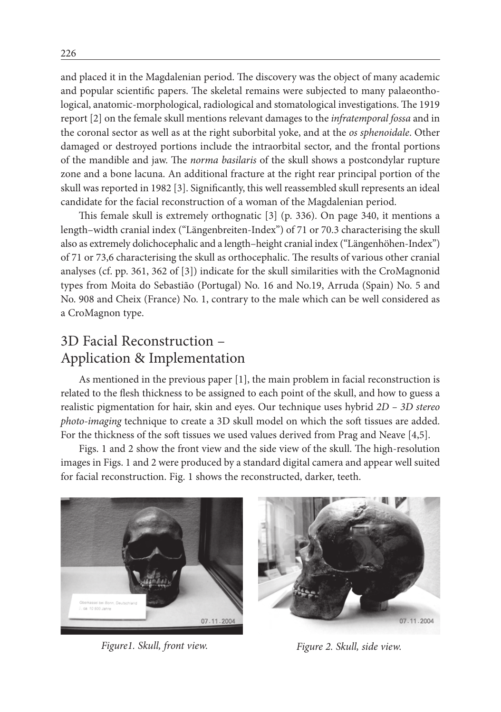and placed it in the Magdalenian period. The discovery was the object of many academic and popular scientific papers. The skeletal remains were subjected to many palaeonthological, anatomic-morphological, radiological and stomatological investigations. The 1919 report [2] on the female skull mentions relevant damages to the *infratemporal fossa* and in the coronal sector as well as at the right suborbital yoke, and at the *os sphenoidale*. Other damaged or destroyed portions include the intraorbital sector, and the frontal portions of the mandible and jaw. The *norma basilaris* of the skull shows a postcondylar rupture zone and a bone lacuna. An additional fracture at the right rear principal portion of the skull was reported in 1982 [3]. Significantly, this well reassembled skull represents an ideal candidate for the facial reconstruction of a woman of the Magdalenian period.

This female skull is extremely orthognatic [3] (p. 336). On page 340, it mentions a length–width cranial index ("Längenbreiten-Index") of 71 or 70.3 characterising the skull also as extremely dolichocephalic and a length–height cranial index ("Längenhöhen-Index") of 71 or 73,6 characterising the skull as orthocephalic. The results of various other cranial analyses (cf. pp. 361, 362 of [3]) indicate for the skull similarities with the CroMagnonid types from Moita do Sebastião (Portugal) No. 16 and No.19, Arruda (Spain) No. 5 and No. 908 and Cheix (France) No. 1, contrary to the male which can be well considered as a CroMagnon type.

# 3D Facial Reconstruction – Application & Implementation

As mentioned in the previous paper [1], the main problem in facial reconstruction is related to the flesh thickness to be assigned to each point of the skull, and how to guess a realistic pigmentation for hair, skin and eyes. Our technique uses hybrid *2D – 3D stereo photo-imaging* technique to create a 3D skull model on which the soft tissues are added. For the thickness of the soft tissues we used values derived from Prag and Neave [4,5].

Figs. 1 and 2 show the front view and the side view of the skull. The high-resolution images in Figs. 1 and 2 were produced by a standard digital camera and appear well suited for facial reconstruction. Fig. 1 shows the reconstructed, darker, teeth.



*Figure1. Skull, front view. Figure 2. Skull, side view.*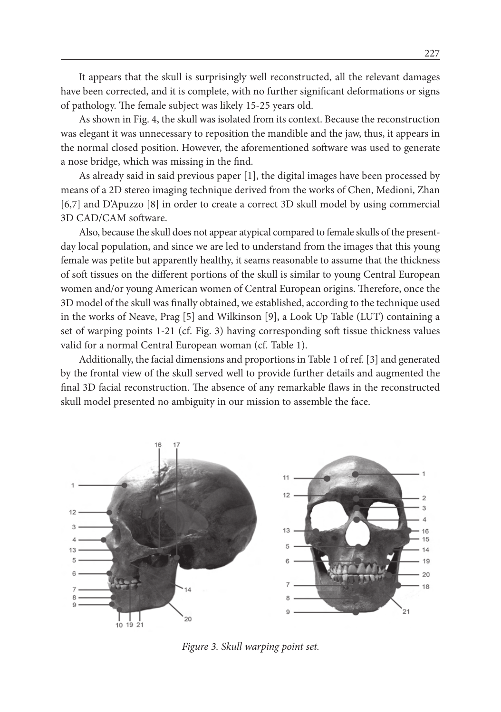It appears that the skull is surprisingly well reconstructed, all the relevant damages have been corrected, and it is complete, with no further significant deformations or signs of pathology. The female subject was likely 15-25 years old.

As shown in Fig. 4, the skull was isolated from its context. Because the reconstruction was elegant it was unnecessary to reposition the mandible and the jaw, thus, it appears in the normal closed position. However, the aforementioned software was used to generate a nose bridge, which was missing in the find.

As already said in said previous paper [1], the digital images have been processed by means of a 2D stereo imaging technique derived from the works of Chen, Medioni, Zhan [6,7] and D'Apuzzo [8] in order to create a correct 3D skull model by using commercial 3D CAD/CAM software.

Also, because the skull does not appear atypical compared to female skulls of the presentday local population, and since we are led to understand from the images that this young female was petite but apparently healthy, it seams reasonable to assume that the thickness of soft tissues on the different portions of the skull is similar to young Central European women and/or young American women of Central European origins. Therefore, once the 3D model of the skull was finally obtained, we established, according to the technique used in the works of Neave, Prag [5] and Wilkinson [9], a Look Up Table (LUT) containing a set of warping points 1-21 (cf. Fig. 3) having corresponding soft tissue thickness values valid for a normal Central European woman (cf. Table 1).

Additionally, the facial dimensions and proportions in Table 1 of ref. [3] and generated by the frontal view of the skull served well to provide further details and augmented the final 3D facial reconstruction. The absence of any remarkable flaws in the reconstructed skull model presented no ambiguity in our mission to assemble the face.



*Figure 3. Skull warping point set.*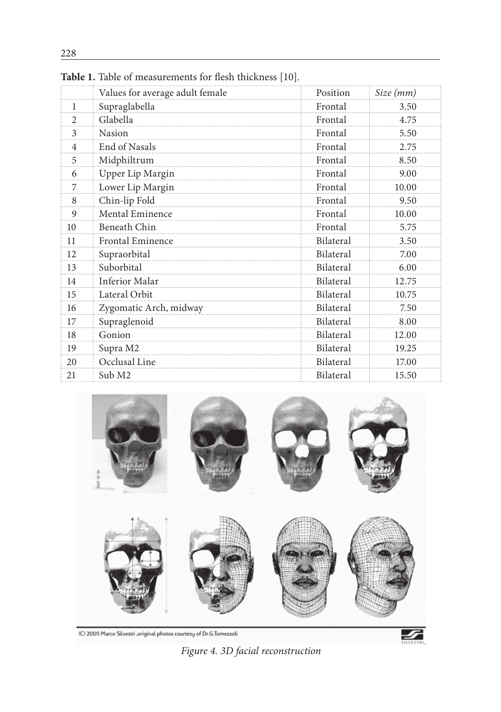|    | Values for average adult female | Position  | Size (mm) |
|----|---------------------------------|-----------|-----------|
| 1  | Supraglabella                   | Frontal   | 3.50      |
| 2  | Glabella                        | Frontal   | 4.75      |
| 3  | Nasion                          | Frontal   | 5.50      |
| 4  | End of Nasals                   | Frontal   | 2.75      |
| 5  | Midphiltrum                     | Frontal   | 8.50      |
| 6  | Upper Lip Margin                | Frontal   | 9.00      |
| 7  | Lower Lip Margin                | Frontal   | 10.00     |
| 8  | Chin-lip Fold                   | Frontal   | 9.50      |
| 9  | Mental Eminence                 | Frontal   | 10.00     |
| 10 | Beneath Chin                    | Frontal   | 5.75      |
| 11 | <b>Frontal Eminence</b>         | Bilateral | 3.50      |
| 12 | Supraorbital                    | Bilateral | 7.00      |
| 13 | Suborbital                      | Bilateral | 6.00      |
| 14 | Inferior Malar                  | Bilateral | 12.75     |
| 15 | Lateral Orbit                   | Bilateral | 10.75     |
| 16 | Zygomatic Arch, midway          | Bilateral | 7.50      |
| 17 | Supraglenoid                    | Bilateral | 8.00      |
| 18 | Gonion                          | Bilateral | 12.00     |
| 19 | Supra M2                        | Bilateral | 19.25     |
| 20 | Occlusal Line                   | Bilateral | 17.00     |
| 21 | Sub M2                          | Bilateral | 15.50     |

**Table 1.** Table of measurements for flesh thickness [10].



(C) 2005 Marco Silvestri ,original photos courtesy of Dr.G.Tomezzoli

*Figure 4. 3D facial reconstruction*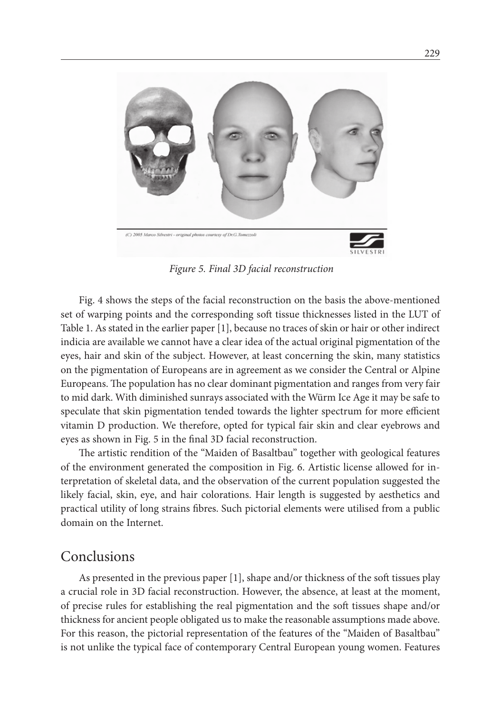

*Figure 5. Final 3D facial reconstruction*

Fig. 4 shows the steps of the facial reconstruction on the basis the above-mentioned set of warping points and the corresponding soft tissue thicknesses listed in the LUT of Table 1. As stated in the earlier paper [1], because no traces of skin or hair or other indirect indicia are available we cannot have a clear idea of the actual original pigmentation of the eyes, hair and skin of the subject. However, at least concerning the skin, many statistics on the pigmentation of Europeans are in agreement as we consider the Central or Alpine Europeans. The population has no clear dominant pigmentation and ranges from very fair to mid dark. With diminished sunrays associated with the Würm Ice Age it may be safe to speculate that skin pigmentation tended towards the lighter spectrum for more efficient vitamin D production. We therefore, opted for typical fair skin and clear eyebrows and eyes as shown in Fig. 5 in the final 3D facial reconstruction.

The artistic rendition of the "Maiden of Basaltbau" together with geological features of the environment generated the composition in Fig. 6. Artistic license allowed for interpretation of skeletal data, and the observation of the current population suggested the likely facial, skin, eye, and hair colorations. Hair length is suggested by aesthetics and practical utility of long strains fibres. Such pictorial elements were utilised from a public domain on the Internet.

#### Conclusions

As presented in the previous paper [1], shape and/or thickness of the soft tissues play a crucial role in 3D facial reconstruction. However, the absence, at least at the moment, of precise rules for establishing the real pigmentation and the soft tissues shape and/or thickness for ancient people obligated us to make the reasonable assumptions made above. For this reason, the pictorial representation of the features of the "Maiden of Basaltbau" is not unlike the typical face of contemporary Central European young women. Features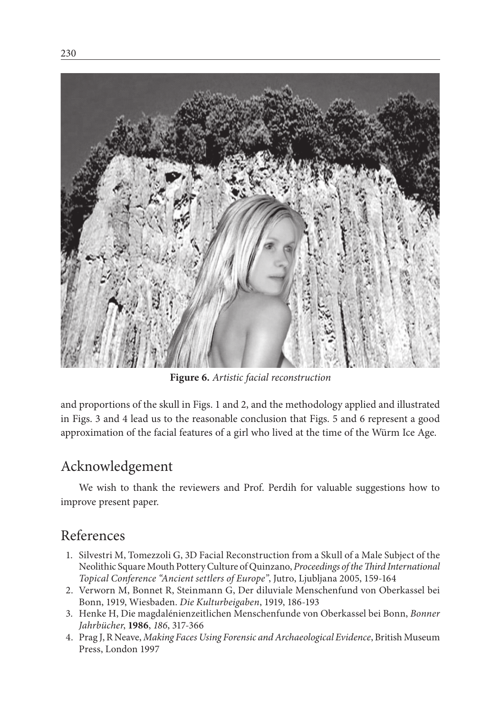

**Figure 6.** *Artistic facial reconstruction*

and proportions of the skull in Figs. 1 and 2, and the methodology applied and illustrated in Figs. 3 and 4 lead us to the reasonable conclusion that Figs. 5 and 6 represent a good approximation of the facial features of a girl who lived at the time of the Würm Ice Age.

### Acknowledgement

We wish to thank the reviewers and Prof. Perdih for valuable suggestions how to improve present paper.

#### References

- 1. Silvestri M, Tomezzoli G, 3D Facial Reconstruction from a Skull of a Male Subject of the Neolithic Square Mouth Pottery Culture of Quinzano, *Proceedings of the Third International Topical Conference "Ancient settlers of Europe"*, Jutro, Ljubljana 2005, 159-164
- 2. Verworn M, Bonnet R, Steinmann G, Der diluviale Menschenfund von Oberkassel bei Bonn, 1919, Wiesbaden. *Die Kulturbeigaben*, 1919, 186-193
- 3. Henke H, Die magdalénienzeitlichen Menschenfunde von Oberkassel bei Bonn, *Bonner Jahrbücher*, **1986**, *186*, 317-366
- 4. Prag J, R Neave, *Making Faces Using Forensic and Archaeological Evidence*, British Museum Press, London 1997